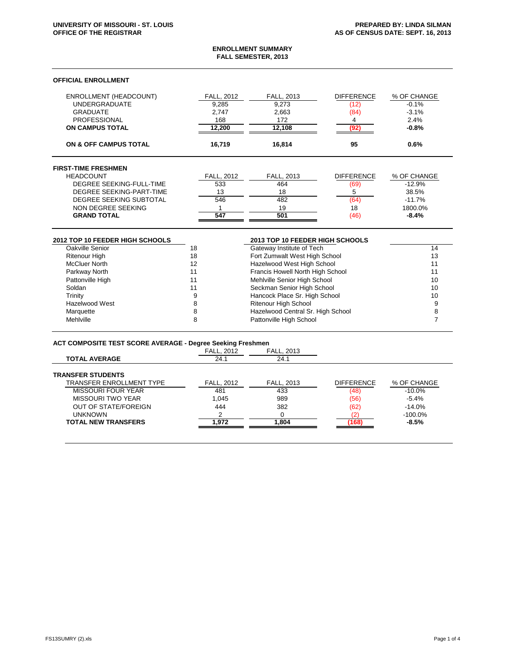# **ENROLLMENT SUMMARY FALL SEMESTER, 2013**

## **OFFICIAL ENROLLMENT**

| ENROLLMENT (HEADCOUNT)<br><b>UNDERGRADUATE</b><br><b>GRADUATE</b><br><b>PROFESSIONAL</b><br><b>ON CAMPUS TOTAL</b> | <b>FALL, 2012</b><br>9.285<br>2.747<br>168<br>12,200 | <b>FALL. 2013</b><br>9.273<br>2,663<br>172<br>12,108 | <b>DIFFERENCE</b><br>(12)<br>(84)<br>4<br>(92) | % OF CHANGE<br>$-0.1%$<br>$-3.1%$<br>2.4%<br>$-0.8%$ |
|--------------------------------------------------------------------------------------------------------------------|------------------------------------------------------|------------------------------------------------------|------------------------------------------------|------------------------------------------------------|
| <b>ON &amp; OFF CAMPUS TOTAL</b>                                                                                   | 16,719                                               | 16.814                                               | 95                                             | 0.6%                                                 |
| <b>FIRST-TIME FRESHMEN</b>                                                                                         |                                                      |                                                      |                                                |                                                      |
| <b>HEADCOUNT</b>                                                                                                   | <b>FALL, 2012</b>                                    | FALL, 2013                                           | <b>DIFFERENCE</b>                              | % OF CHANGE                                          |
| DEGREE SEEKING-FULL-TIME                                                                                           | 533                                                  | 464                                                  | (69)                                           | $-12.9%$                                             |
| DEGREE SEEKING-PART-TIME                                                                                           | 13                                                   | 18                                                   | 5                                              | 38.5%                                                |
| DEGREE SEEKING SUBTOTAL                                                                                            | 546                                                  | 482                                                  | (64)                                           | $-11.7%$                                             |
| NON DEGREE SEEKING                                                                                                 |                                                      | 19                                                   | 18                                             | 1800.0%                                              |
| <b>GRAND TOTAL</b>                                                                                                 | 547                                                  | 501                                                  | (46)                                           | $-8.4%$                                              |

| 2012 TOP 10 FEEDER HIGH SCHOOLS |    | 2013 TOP 10 FEEDER HIGH SCHOOLS   |    |
|---------------------------------|----|-----------------------------------|----|
| Oakville Senior                 | 18 | Gateway Institute of Tech         | 14 |
| <b>Ritenour High</b>            | 18 | Fort Zumwalt West High School     | 13 |
| <b>McCluer North</b>            | 12 | Hazelwood West High School        | 11 |
| Parkway North                   | 11 | Francis Howell North High School  |    |
| Pattonville High                | 11 | Mehlville Senior High School      | 10 |
| Soldan                          | 11 | Seckman Senior High School        | 10 |
| Trinity                         |    | Hancock Place Sr. High School     | 10 |
| Hazelwood West                  |    | <b>Ritenour High School</b>       |    |
| Marquette                       |    | Hazelwood Central Sr. High School |    |
| Mehlville                       |    | Pattonville High School           |    |

# **ACT COMPOSITE TEST SCORE AVERAGE - Degree Seeking Freshmen**

| <b>FALL, 2012</b> | <b>FALL, 2013</b> |                   |             |
|-------------------|-------------------|-------------------|-------------|
| 24.1              | 24.1              |                   |             |
|                   |                   |                   |             |
| <b>FALL, 2012</b> | FALL, 2013        | <b>DIFFERENCE</b> | % OF CHANGE |
| 481               | 433               | (48)              | $-10.0\%$   |
| 1.045             | 989               | (56)              | $-5.4%$     |
| 444               | 382               | (62)              | $-14.0%$    |
| ◠                 |                   |                   | $-100.0\%$  |
| 1.972             | .804              | (168)             | $-8.5%$     |
|                   |                   |                   |             |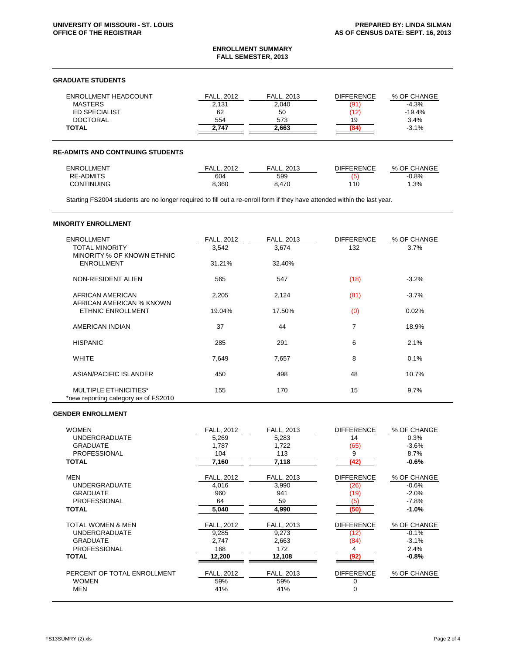### **ENROLLMENT SUMMARY FALL SEMESTER, 2013**

## **GRADUATE STUDENTS**

| <b>ENROLLMENT HEADCOUNT</b> | FALL.<br>2012 | FALL.<br>. 2013 | <b>DIFFERENCE</b> | % OF CHANGE |
|-----------------------------|---------------|-----------------|-------------------|-------------|
| <b>MASTERS</b>              | 2,131         | 2,040           | (91)              | $-4.3%$     |
| ED SPECIALIST               | 62            | 50              | (12)              | $-19.4%$    |
| <b>DOCTORAL</b>             | 554           | 573             | 19                | 3.4%        |
| <b>TOTAL</b>                | 2.747         | 2.663           |                   | $-3.1%$     |

#### **RE-ADMITS AND CONTINUING STUDENTS**

| ENROLLMENT        | 2012<br>FALL. | FALL.<br>2013 | <b>DIFFERENCE</b> | % OF CHANGE |
|-------------------|---------------|---------------|-------------------|-------------|
| <b>RE-ADMITS</b>  | 604           | 599           | (5)               | $-0.8\%$    |
| <b>CONTINUING</b> | 3.360         | 8.470         | 110               | .3%         |

Starting FS2004 students are no longer required to fill out a re-enroll form if they have attended within the last year.

# **MINORITY ENROLLMENT**

| <b>ENROLLMENT</b><br><b>TOTAL MINORITY</b>                           | <b>FALL, 2012</b><br>3,542 | FALL, 2013<br>3,674 | <b>DIFFERENCE</b><br>132 | % OF CHANGE<br>3.7% |
|----------------------------------------------------------------------|----------------------------|---------------------|--------------------------|---------------------|
| MINORITY % OF KNOWN ETHNIC<br><b>ENROLLMENT</b>                      | 31.21%                     | 32.40%              |                          |                     |
| NON-RESIDENT ALIEN                                                   | 565                        | 547                 | (18)                     | $-3.2%$             |
| AFRICAN AMERICAN<br>AFRICAN AMERICAN % KNOWN                         | 2,205                      | 2,124               | (81)                     | $-3.7%$             |
| <b>ETHNIC ENROLLMENT</b>                                             | 19.04%                     | 17.50%              | (0)                      | 0.02%               |
| AMERICAN INDIAN                                                      | 37                         | 44                  | 7                        | 18.9%               |
| <b>HISPANIC</b>                                                      | 285                        | 291                 | 6                        | 2.1%                |
| <b>WHITE</b>                                                         | 7,649                      | 7,657               | 8                        | 0.1%                |
| ASIAN/PACIFIC ISLANDER                                               | 450                        | 498                 | 48                       | 10.7%               |
| <b>MULTIPLE ETHNICITIES*</b><br>*new reporting category as of FS2010 | 155                        | 170                 | 15                       | 9.7%                |

# **GENDER ENROLLMENT**

| <b>WOMEN</b>                | <b>FALL, 2012</b> | <b>FALL, 2013</b> | <b>DIFFERENCE</b> | % OF CHANGE |
|-----------------------------|-------------------|-------------------|-------------------|-------------|
| <b>UNDERGRADUATE</b>        | 5,269             | 5,283             | 14                | 0.3%        |
| <b>GRADUATE</b>             | 1,787             | 1,722             | (65)              | $-3.6%$     |
| <b>PROFESSIONAL</b>         | 104               | 113               | 9                 | 8.7%        |
| <b>TOTAL</b>                | 7,160             | 7,118             | (42)              | $-0.6%$     |
| <b>MEN</b>                  | FALL, 2012        | FALL, 2013        | <b>DIFFERENCE</b> | % OF CHANGE |
| <b>UNDERGRADUATE</b>        | 4,016             | 3,990             | (26)              | $-0.6%$     |
| <b>GRADUATE</b>             | 960               | 941               | (19)              | $-2.0%$     |
| <b>PROFESSIONAL</b>         | 64                | 59                | (5)               | $-7.8%$     |
| <b>TOTAL</b>                | 5,040             | 4,990             | (50)              | $-1.0%$     |
| TOTAL WOMEN & MEN           | FALL, 2012        | FALL, 2013        | <b>DIFFERENCE</b> | % OF CHANGE |
| <b>UNDERGRADUATE</b>        | 9,285             | 9,273             | (12)              | $-0.1%$     |
| <b>GRADUATE</b>             | 2,747             | 2,663             | (84)              | $-3.1%$     |
| <b>PROFESSIONAL</b>         | 168               | 172               | 4                 | 2.4%        |
| <b>TOTAL</b>                | 12,200            | 12,108            | (92)              | $-0.8%$     |
| PERCENT OF TOTAL ENROLLMENT | FALL, 2012        | FALL, 2013        | <b>DIFFERENCE</b> | % OF CHANGE |
| <b>WOMEN</b>                | 59%               | 59%               | 0                 |             |
| <b>MEN</b>                  | 41%               | 41%               | 0                 |             |